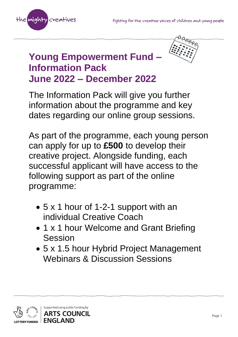



## **Young Empowerment Fund – Information Pack June 2022 – December 2022**

The Information Pack will give you further information about the programme and key dates regarding our online group sessions.

As part of the programme, each young person can apply for up to **£500** to develop their creative project. Alongside funding, each successful applicant will have access to the following support as part of the online programme:

- 5 x 1 hour of 1-2-1 support with an individual Creative Coach
- 1 x 1 hour Welcome and Grant Briefing Session
- 5 x 1.5 hour Hybrid Project Management Webinars & Discussion Sessions

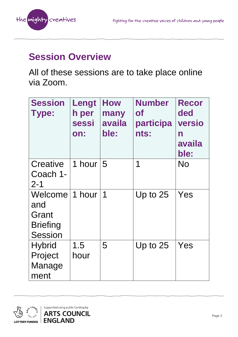

### **Session Overview**

All of these sessions are to take place online via Zoom.

| <b>Session</b><br><b>Type:</b>                               | Lengt<br>h per<br>sessi<br>on: | How<br>many<br>availa<br>ble: | <b>Number</b><br><b>of</b><br>participa<br>nts: | <b>Recor</b><br>ded<br><b>versio</b><br>$\mathsf{n}$<br>availa<br>ble: |
|--------------------------------------------------------------|--------------------------------|-------------------------------|-------------------------------------------------|------------------------------------------------------------------------|
| <b>Creative</b><br>Coach 1-<br>$2 - 1$                       | 1 hour                         | 5                             | 1                                               | No                                                                     |
| Welcome<br>and<br>Grant<br><b>Briefing</b><br><b>Session</b> | 1 hour                         | 1                             | Up to $25$                                      | Yes                                                                    |
| <b>Hybrid</b><br>Project<br>Manage<br>ment                   | 1.5<br>hour                    | 5                             | Up to $25$                                      | Yes                                                                    |

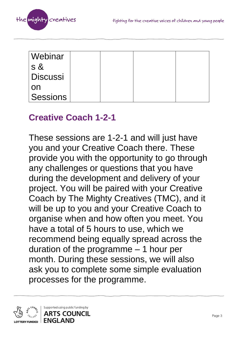

| Webinar         |  |  |
|-----------------|--|--|
| S &             |  |  |
| <b>Discussi</b> |  |  |
| on              |  |  |
| Sessions        |  |  |

#### **Creative Coach 1-2-1**

These sessions are 1-2-1 and will just have you and your Creative Coach there. These provide you with the opportunity to go through any challenges or questions that you have during the development and delivery of your project. You will be paired with your Creative Coach by The Mighty Creatives (TMC), and it will be up to you and your Creative Coach to organise when and how often you meet. You have a total of 5 hours to use, which we recommend being equally spread across the duration of the programme – 1 hour per month. During these sessions, we will also ask you to complete some simple evaluation processes for the programme.

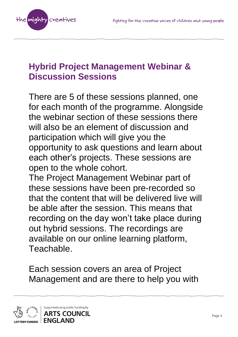

### **Hybrid Project Management Webinar & Discussion Sessions**

There are 5 of these sessions planned, one for each month of the programme. Alongside the webinar section of these sessions there will also be an element of discussion and participation which will give you the opportunity to ask questions and learn about each other's projects. These sessions are open to the whole cohort.

The Project Management Webinar part of these sessions have been pre-recorded so that the content that will be delivered live will be able after the session. This means that recording on the day won't take place during out hybrid sessions. The recordings are available on our online learning platform, Teachable.

Each session covers an area of Project Management and are there to help you with

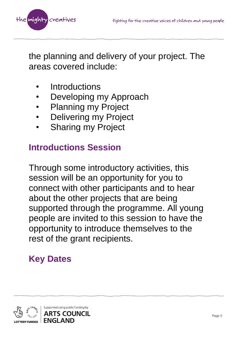

the planning and delivery of your project. The areas covered include:

- **Introductions**
- Developing my Approach
- Planning my Project
- **Delivering my Project**
- **Sharing my Project**

### **Introductions Session**

Through some introductory activities, this session will be an opportunity for you to connect with other participants and to hear about the other projects that are being supported through the programme. All young people are invited to this session to have the opportunity to introduce themselves to the rest of the grant recipients.

# **Key Dates**

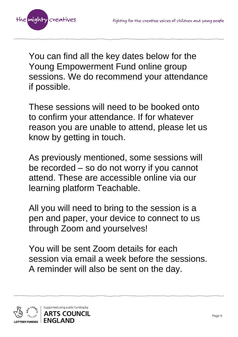

You can find all the key dates below for the Young Empowerment Fund online group sessions. We do recommend your attendance if possible.

These sessions will need to be booked onto to confirm your attendance. If for whatever reason you are unable to attend, please let us know by getting in touch.

As previously mentioned, some sessions will be recorded – so do not worry if you cannot attend. These are accessible online via our learning platform Teachable.

All you will need to bring to the session is a pen and paper, your device to connect to us through Zoom and yourselves!

You will be sent Zoom details for each session via email a week before the sessions. A reminder will also be sent on the day.

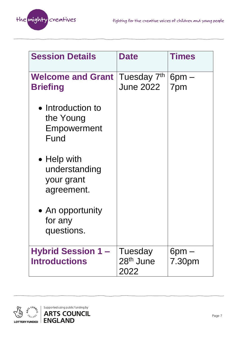

| <b>Session Details</b>                                   | <b>Date</b>                              | <b>Times</b>         |
|----------------------------------------------------------|------------------------------------------|----------------------|
| <b>Welcome and Grant</b><br><b>Briefing</b>              | Tuesday 7th<br><b>June 2022</b>          | $6$ pm $-$<br>7pm    |
| • Introduction to<br>the Young<br>Empowerment<br>Fund    |                                          |                      |
| • Help with<br>understanding<br>your grant<br>agreement. |                                          |                      |
| • An opportunity<br>for any<br>questions.                |                                          |                      |
| <b>Hybrid Session 1-</b><br><b>Introductions</b>         | Tuesday<br>28 <sup>th</sup> June<br>2022 | $6$ pm $-$<br>7.30pm |

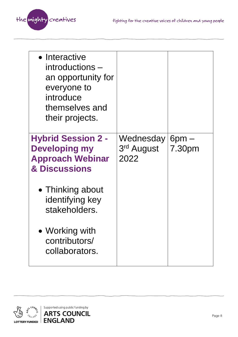

| • Interactive<br>introductions –<br>an opportunity for<br>everyone to<br>introduce<br>themselves and<br>their projects. |                                 |                      |
|-------------------------------------------------------------------------------------------------------------------------|---------------------------------|----------------------|
| <b>Hybrid Session 2 -</b><br><b>Developing my</b><br><b>Approach Webinar</b><br>& Discussions                           | Wednesday<br>3rd August<br>2022 | $6$ pm $-$<br>7.30pm |
| • Thinking about<br>identifying key<br>stakeholders.                                                                    |                                 |                      |
| • Working with<br>contributors/<br>collaborators.                                                                       |                                 |                      |

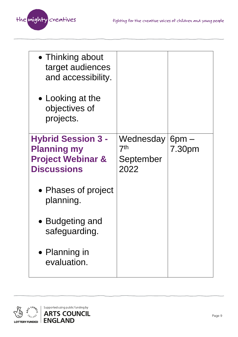

| • Thinking about<br>target audiences<br>and accessibility.<br>• Looking at the<br>objectives of<br>projects. |                              |            |
|--------------------------------------------------------------------------------------------------------------|------------------------------|------------|
| <b>Hybrid Session 3 -</b>                                                                                    | Wednesday<br>$7^\mathsf{th}$ | $6$ pm $-$ |
| <b>Planning my</b><br><b>Project Webinar &amp;</b>                                                           | September                    | 7.30pm     |
| <b>Discussions</b>                                                                                           | 2022                         |            |
| • Phases of project<br>planning.                                                                             |                              |            |
| • Budgeting and<br>safeguarding.                                                                             |                              |            |
| • Planning in<br>evaluation.                                                                                 |                              |            |

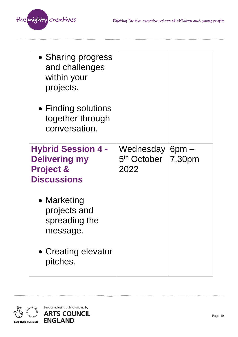

| • Sharing progress<br>and challenges<br>within your<br>projects.                                |                                                        |        |
|-------------------------------------------------------------------------------------------------|--------------------------------------------------------|--------|
| $\bullet$ Finding solutions<br>together through<br>conversation.                                |                                                        |        |
| <b>Hybrid Session 4 -</b><br><b>Delivering my</b><br><b>Project &amp;</b><br><b>Discussions</b> | Wednesday $6pm -$<br>5 <sup>th</sup> October  <br>2022 | 7.30pm |
| • Marketing<br>projects and<br>spreading the<br>message.                                        |                                                        |        |
| • Creating elevator<br>pitches.                                                                 |                                                        |        |

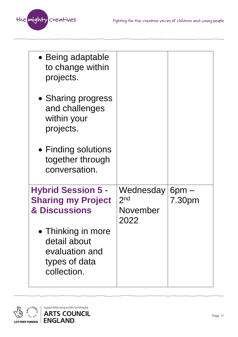

| Wednesday        | $6$ pm $-$ |
|------------------|------------|
| 2 <sub>nd</sub>  | 7.30pm     |
| November<br>2022 |            |
|                  |            |
|                  |            |

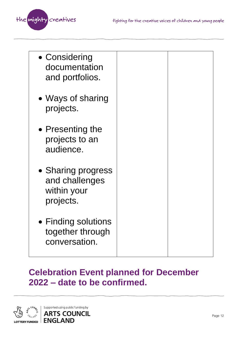

| • Considering<br>documentation<br>and portfolios.                |  |
|------------------------------------------------------------------|--|
| • Ways of sharing<br>projects.                                   |  |
| • Presenting the<br>projects to an<br>audience.                  |  |
| • Sharing progress<br>and challenges<br>within your<br>projects. |  |
| • Finding solutions<br>together through<br>conversation.         |  |

### **Celebration Event planned for December 2022 – date to be confirmed.**

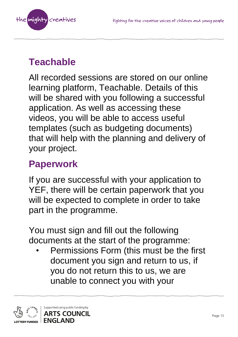

## **Teachable**

All recorded sessions are stored on our online learning platform, Teachable. Details of this will be shared with you following a successful application. As well as accessing these videos, you will be able to access useful templates (such as budgeting documents) that will help with the planning and delivery of your project.

## **Paperwork**

If you are successful with your application to YEF, there will be certain paperwork that you will be expected to complete in order to take part in the programme.

You must sign and fill out the following documents at the start of the programme:

• Permissions Form (this must be the first document you sign and return to us, if you do not return this to us, we are unable to connect you with your